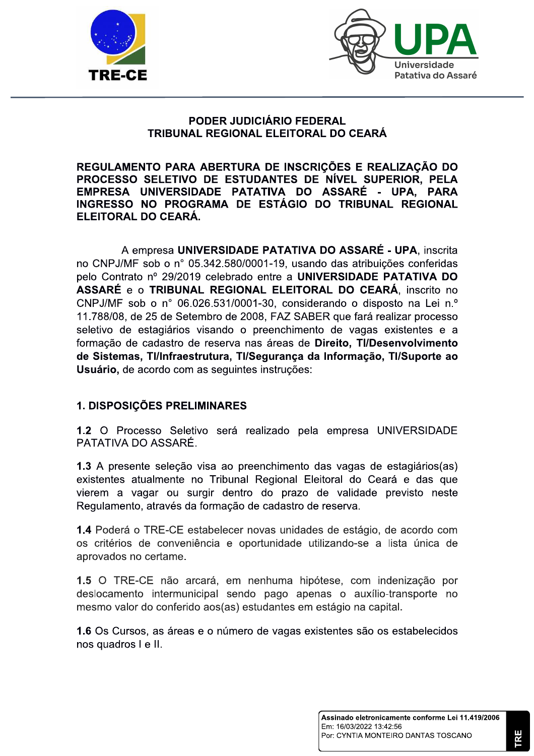



## PODER JUDICIÁRIO FEDERAL TRIBUNAL REGIONAL ELEITORAL DO CEARÁ

REGULAMENTO PARA ABERTURA DE INSCRIÇÕES E REALIZAÇÃO DO PROCESSO SELETIVO DE ESTUDANTES DE NÍVEL SUPERIOR, PELA EMPRESA UNIVERSIDADE PATATIVA DO ASSARÉ - UPA. PARA INGRESSO NO PROGRAMA DE ESTÁGIO DO TRIBUNAL REGIONAL ELEITORAL DO CEARÁ.

A empresa UNIVERSIDADE PATATIVA DO ASSARÉ - UPA, inscrita no CNPJ/MF sob o nº 05.342.580/0001-19, usando das atribuições conferidas pelo Contrato nº 29/2019 celebrado entre a UNIVERSIDADE PATATIVA DO ASSARÉ e o TRIBUNAL REGIONAL ELEITORAL DO CEARÁ, inscrito no CNPJ/MF sob o n° 06.026.531/0001-30, considerando o disposto na Lei n.º 11.788/08, de 25 de Setembro de 2008, FAZ SABER que fará realizar processo seletivo de estagiários visando o preenchimento de vagas existentes e a formação de cadastro de reserva nas áreas de Direito, TI/Desenvolvimento de Sistemas, TI/Infraestrutura, TI/Segurança da Informação, TI/Suporte ao Usuário, de acordo com as sequintes instruções:

# 1. DISPOSIÇÕES PRELIMINARES

1.2 O Processo Seletivo será realizado pela empresa UNIVERSIDADE PATATIVA DO ASSARÉ.

1.3 A presente seleção visa ao preenchimento das vagas de estagiários(as) existentes atualmente no Tribunal Regional Eleitoral do Ceará e das que vierem a vagar ou surgir dentro do prazo de validade previsto neste Regulamento, através da formação de cadastro de reserva.

1.4 Poderá o TRE-CE estabelecer novas unidades de estágio, de acordo com os critérios de conveniência e oportunidade utilizando-se a lista única de aprovados no certame.

1.5 O TRE-CE não arcará, em nenhuma hipótese, com indenização por deslocamento intermunicipal sendo pago apenas o auxílio-transporte no mesmo valor do conferido aos(as) estudantes em estágio na capital.

1.6 Os Cursos, as áreas e o número de vagas existentes são os estabelecidos nos quadros I e II.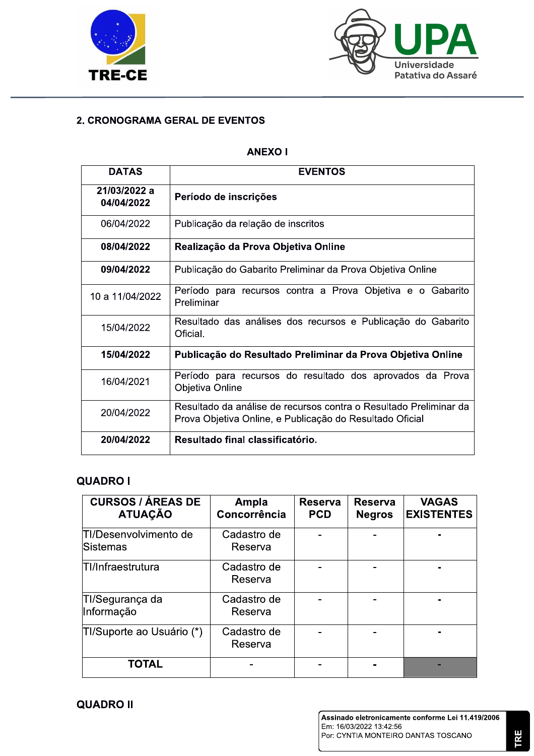



# 2. CRONOGRAMA GERAL DE EVENTOS

# ANEXU I

| <b>DATAS</b>               | <b>EVENTOS</b>                                                                                                                |  |  |  |
|----------------------------|-------------------------------------------------------------------------------------------------------------------------------|--|--|--|
| 21/03/2022 a<br>04/04/2022 | Período de inscrições                                                                                                         |  |  |  |
| 06/04/2022                 | Publicação da relação de inscritos                                                                                            |  |  |  |
| 08/04/2022                 | Realização da Prova Objetiva Online                                                                                           |  |  |  |
| 09/04/2022                 | Publicação do Gabarito Preliminar da Prova Objetiva Online                                                                    |  |  |  |
| 10 a 11/04/2022            | Período para recursos contra a Prova Objetiva e o Gabarito<br>Preliminar                                                      |  |  |  |
| 15/04/2022                 | Resultado das análises dos recursos e Publicação do Gabarito<br>Oficial.                                                      |  |  |  |
| 15/04/2022                 | Publicação do Resultado Preliminar da Prova Objetiva Online                                                                   |  |  |  |
| 16/04/2021                 | Período para recursos do resultado dos aprovados da Prova<br>Objetiva Online                                                  |  |  |  |
| 20/04/2022                 | Resultado da análise de recursos contra o Resultado Preliminar da<br>Prova Objetiva Online, e Publicação do Resultado Oficial |  |  |  |
| 20/04/2022                 | Resultado final classificatório.                                                                                              |  |  |  |

# QUADRO I

| <b>CURSOS / ÁREAS DE</b><br><b>ATUAÇÃO</b> | Ampla<br>Concorrência  | <b>Reserva</b><br><b>PCD</b> | <b>Reserva</b><br><b>Negros</b> | <b>VAGAS</b><br><b>EXISTENTES</b> |
|--------------------------------------------|------------------------|------------------------------|---------------------------------|-----------------------------------|
| TI/Desenvolvimento de<br>Sistemas          | Cadastro de<br>Reserva |                              |                                 |                                   |
| <b>TI/Infraestrutura</b>                   | Cadastro de<br>Reserva |                              |                                 |                                   |
| TI/Segurança da<br>Informação              | Cadastro de<br>Reserva |                              |                                 |                                   |
| TI/Suporte ao Usuário (*)                  | Cadastro de<br>Reserva |                              |                                 |                                   |
| <b>TOTAL</b>                               |                        |                              |                                 |                                   |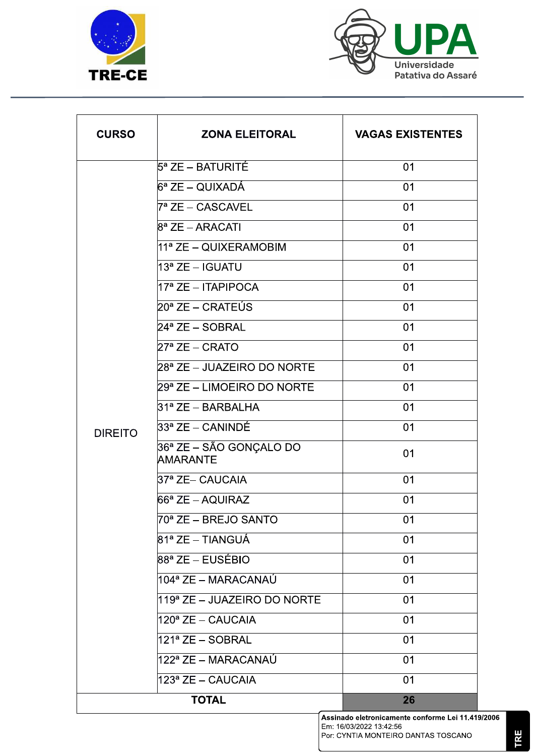



| <b>CURSO</b>   | <b>ZONA ELEITORAL</b>               | <b>VAGAS EXISTENTES</b> |
|----------------|-------------------------------------|-------------------------|
|                | $5^{\mathsf{a}}$ ZE – BATURITÉ      | 01                      |
|                | 6ª ZE – QUIXADÁ                     | 01                      |
|                | 7ª ZE – CASCAVEL                    | 01                      |
|                | $8^{\mathsf{a}}$ ZE – ARACATI       | 01                      |
|                | 11ª ZE – QUIXERAMOBIM               | 01                      |
|                | 13ª ZE – IGUATU                     | 01                      |
|                | $17a$ ZE - ITAPIPOCA                | 01                      |
|                | 20ª ZE – CRATEÚS                    | 01                      |
|                | 24ª ZE – SOBRAL                     | 01                      |
|                | $27^{\mathsf{a}}$ ZE – CRATO        | 01                      |
|                | 28ª ZE – JUAZEIRO DO NORTE          | 01                      |
| <b>DIREITO</b> | 29ª ZE – LIMOEIRO DO NORTE          | 01                      |
|                | 31ª ZE – BARBALHA                   | 01                      |
|                | 33ª ZE – CANINDÉ                    | 01                      |
|                | 36ª ZE – SÃO GONÇALO DO<br>AMARANTE | 01                      |
|                | 37ª ZE– CAUCAIA                     | 01                      |
|                | $66^{\mathsf{a}}$ ZE – AQUIRAZ      | 01                      |
|                | 70ª ZE – BREJO SANTO                | 01                      |
|                | 81ª ZE – TIANGUÁ                    | 01                      |
|                | 88ª ZE – EUSÉBIO                    | 01                      |
|                | 104ª ZE – MARACANAÚ                 | 01                      |
|                | 119ª ZE - JUAZEIRO DO NORTE         | 01                      |
|                | 120 <sup>ª</sup> ZE – CAUCAIA       | 01                      |
|                | 121ª ZE – SOBRAL                    | 01                      |
|                | 122ª ZE – MARACANAÚ                 | 01                      |
|                | 123ª ZE – CAUCAIA                   | 01                      |
|                | <b>TOTAL</b>                        | 26                      |

Assinado eletronicamente conforme Lei 11.419/2006<br>Em: 16/03/2022 13:42:56<br>Por: CYNTIA MONTEIRO DANTAS TOSCANO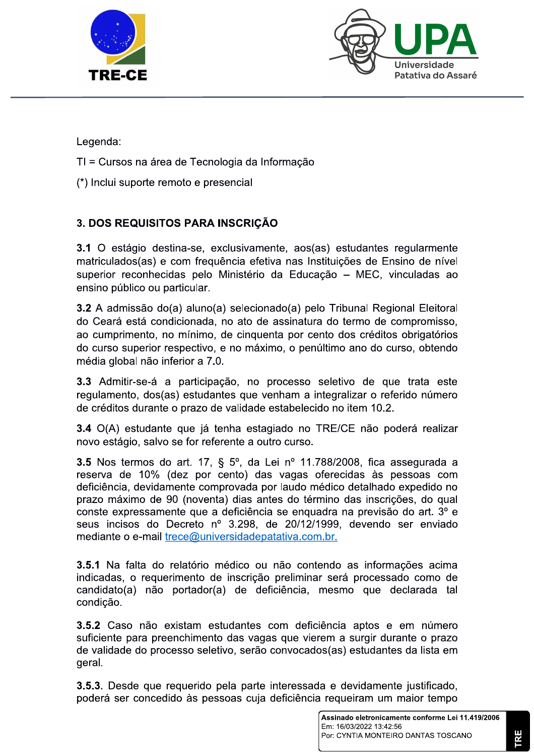



Legenda:

- TT = Cursos ha area de Techologia da Informação
- 

Legenda:<br>
TI = Cursos na área de Tecnologia da Informação<br>
(\*) Inclui suporte remoto e presencial<br>
3. DOS REQUISITOS PARA INSCRIÇÃO<br>
3.1 O estágio destina-se, exclusivamente, aos(as) estudenta<br>
matriculados(as) e com frequ io destina-se, exclusivamente, aos(as) estudantes regularmente matriculados(as) e com frequência efetiva nas Instituições de Ensino de nível superior reconhecidas pelo Ministério da Educação – MEC, vinculadas ao ensino público ou particular.

 $\mathbf{3.2}$  A admissão do $\mathbf{(a)}$  aluno $\mathbf{(a)}$  selecionado $\mathbf{(a)}$  pelo Tribunal Regional Eleitoral do Ceará está condicionada, no ato de assinatura do termo de compromisso, ao cumprimento, no minimo, de cinquenta por cento dos creditos obrigatorios do curso superior respectivo, e no máximo, o penúltimo ano do curso, obtendo media giobal nao inferior a 7.0.  $\,$ 

3.3 Admitir-se-á a participação, no processo seletivo de que trata este regulamento, dos(as) estudantes que vennam a integralizar o referido numero de créditos durante o prazo de validade estabelecido no item 10.2.

 $3.4$  O(A) estudante que ja tenna estagiado no TRE/CE hao podera realizar novo estagio, salvo se for referente a outro curso.

**3.5** Nos termos do art. 17,  $\frac{1}{2}$  5°, da Lei nº 11.788/2008, fica assegurada a reserva de 10% (dez por cento) das vagas oferecidas as pessoas com deficiência, devidamente comprovada por laudo médico detalhado expedido no prazo máximo de 90 (noventa) dias antes do término das inscrições, do qual conste expressamente que a deficiência se enquadra na previsão do art. 3º e seus incisos do Decreto nº 3.298, de 20/12/1999, devendo ser enviado mediante o e-mail trece@universidadepatativa.com.br.

3.5.1 Na falta do relatório médico ou não contendo as informações acima indicadas, o requerimento de inscrição preliminar será processado como de candidato(a) não portador(a) de deficiência, mesmo que declarada tal condição.

3.5.2 Caso não existam estudantes com deficiência aptos e em número suficiente para preenchimento das vagas que vierem a surgir durante o prazo de validade do processo seletivo, serão convocados(as) estudantes da lista em geraı.

3.5.3. Desde que requerido pela parte interessada e devidamente justificado, poderá ser concedido às pessoas cuja deficiência requeiram um maior tempo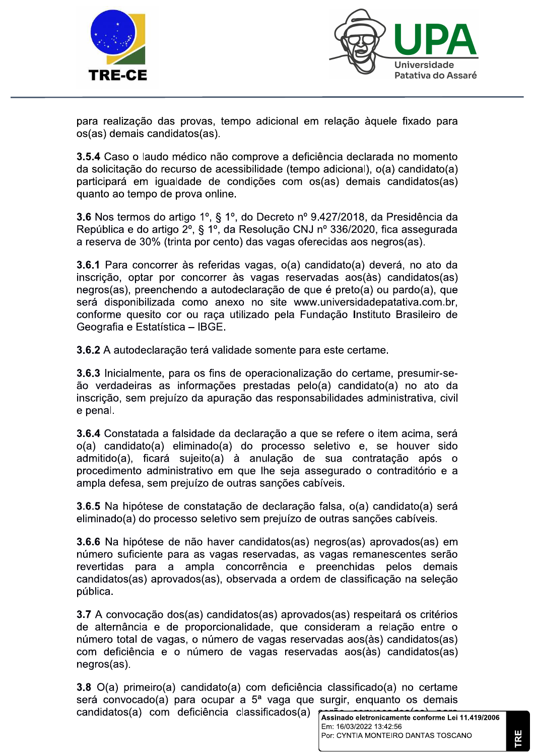



para realização das provas, tempo adicional em relação àquele fixado para os(as) demais candidatos(as).

3.5.4 Caso o laudo médico não comprove a deficiência declarada no momento da solicitação do recurso de acessibilidade (tempo adicional), o(a) candidato(a) participará em igualdade de condições com os(as) demais candidatos(as) quanto ao tempo de prova online.

3.6 Nos termos do artigo 1º, § 1º, do Decreto nº 9.427/2018, da Presidência da República e do artigo 2º, § 1º, da Resolução CNJ nº 336/2020, fica assegurada a reserva de 30% (trinta por cento) das vagas oferecidas aos negros(as).

3.6.1 Para concorrer às referidas vagas, o(a) candidato(a) deverá, no ato da inscrição, optar por concorrer às vagas reservadas aos(às) candidatos(as) negros(as), preenchendo a autodeclaração de que é preto(a) ou pardo(a), que será disponibilizada como anexo no site www.universidadepatativa.com.br. conforme quesito cor ou raca utilizado pela Fundação Instituto Brasileiro de Geografia e Estatística - IBGE.

3.6.2 A autodeclaração terá validade somente para este certame.

3.6.3 Inicialmente, para os fins de operacionalização do certame, presumir-seão verdadeiras as informações prestadas pelo(a) candidato(a) no ato da inscrição, sem prejuízo da apuração das responsabilidades administrativa, civil e penal.

3.6.4 Constatada a falsidade da declaração a que se refere o item acima, será o(a) candidato(a) eliminado(a) do processo seletivo e, se houver sido admitido(a), ficará sujeito(a) à anulação de sua contratação após o procedimento administrativo em que lhe seja assegurado o contraditório e a ampla defesa, sem prejuízo de outras sanções cabíveis.

3.6.5 Na hipótese de constatação de declaração falsa, o(a) candidato(a) será eliminado(a) do processo seletivo sem prejuízo de outras sanções cabíveis.

3.6.6 Na hipótese de não haver candidatos(as) negros(as) aprovados(as) em número suficiente para as vagas reservadas, as vagas remanescentes serão para a ampla concorrência e preenchidas pelos demais revertidas candidatos(as) aprovados(as), observada a ordem de classificação na seleção pública.

3.7 A convocação dos(as) candidatos(as) aprovados(as) respeitará os critérios de alternância e de proporcionalidade, que consideram a relação entre o número total de vagas, o número de vagas reservadas aos(às) candidatos(as) com deficiência e o número de vagas reservadas aos(às) candidatos(as)  $neqros(as).$ 

3.8 O(a) primeiro(a) candidato(a) com deficiência classificado(a) no certame será convocado(a) para ocupar a 5<sup>ª</sup> vaga que surgir, enquanto os demais candidatos(a) com deficiência classificados(a)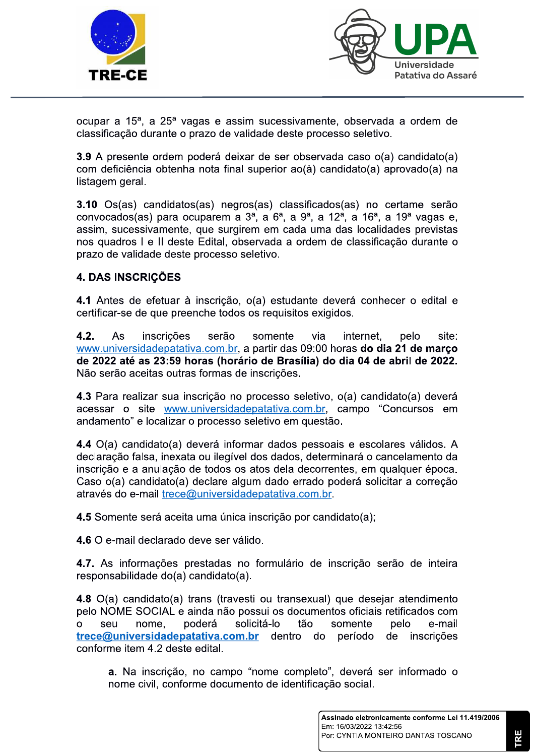



ocupar a 15<sup>a</sup>, a 25<sup>a</sup> vagas e assim sucessivamente, observada a ordem de classificação durante o prazo de validade deste processo seletivo.

3.9 A presente ordem poderá deixar de ser observada caso o(a) candidato(a) com deficiência obtenha nota final superior ao(à) candidato(a) aprovado(a) na listagem geral.

3.10 Os(as) candidatos(as) negros(as) classificados(as) no certame serão convocados(as) para ocuparem a 3<sup>a</sup>, a 6<sup>a</sup>, a 9<sup>a</sup>, a 12<sup>a</sup>, a 16<sup>a</sup>, a 19<sup>a</sup> vagas e, assim, sucessivamente, que surgirem em cada uma das localidades previstas nos quadros I e II deste Edital, observada a ordem de classificação durante o prazo de validade deste processo seletivo.

# **4. DAS INSCRIÇÕES**

4.1 Antes de efetuar à inscrição, o(a) estudante deverá conhecer o edital e certificar-se de que preenche todos os requisitos exigidos.

 $4.2.$ inscrições As serão somente via internet. pelo site: www.universidadepatativa.com.br, a partir das 09:00 horas do dia 21 de março de 2022 até as 23:59 horas (horário de Brasília) do dia 04 de abril de 2022. Não serão aceitas outras formas de inscrições.

4.3 Para realizar sua inscrição no processo seletivo, o(a) candidato(a) deverá acessar o site www.universidadepatativa.com.br, campo "Concursos em andamento" e localizar o processo seletivo em questão.

4.4 O(a) candidato(a) deverá informar dados pessoais e escolares válidos. A declaração falsa, inexata ou ilegível dos dados, determinará o cancelamento da inscrição e a anulação de todos os atos dela decorrentes, em qualquer época. Caso o(a) candidato(a) declare algum dado errado poderá solicitar a correção através do e-mail trece@universidadepatativa.com.br.

4.5 Somente será aceita uma única inscrição por candidato(a):

4.6 O e-mail declarado deve ser válido.

4.7. As informações prestadas no formulário de inscrição serão de inteira responsabilidade do(a) candidato(a).

4.8 O(a) candidato(a) trans (travesti ou transexual) que desejar atendimento pelo NOME SOCIAL e ainda não possui os documentos oficiais retificados com nome, poderá solicitá-lo tão somente e-mail  $\overline{O}$ seu pelo trece@universidadepatativa.com.br dentro inscricões do período de conforme item 4.2 deste edital.

a. Na inscrição, no campo "nome completo", deverá ser informado o nome civil, conforme documento de identificação social.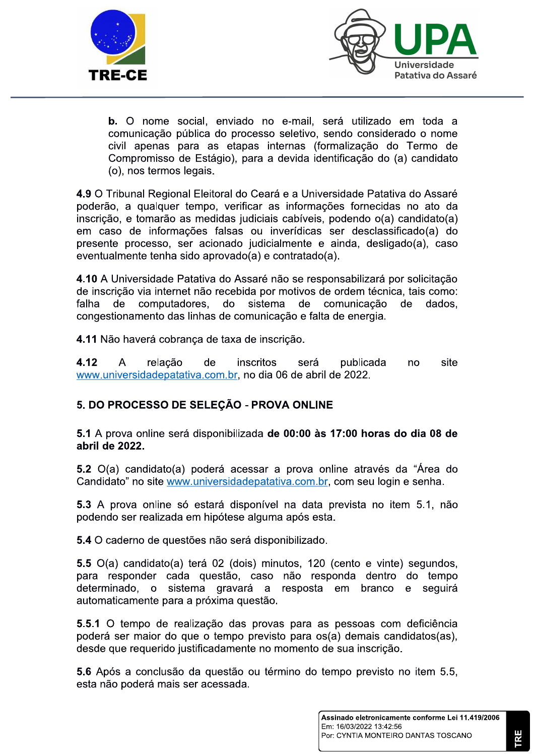



b. O nome social, enviado no e-mail, será utilizado em toda a comunicação pública do processo seletivo, sendo considerado o nome civil apenas para as etapas internas (formalização do Termo de Compromisso de Estágio), para a devida identificação do (a) candidato (o), nos termos legais.

4.9 O Tribunal Regional Eleitoral do Ceará e a Universidade Patativa do Assaré poderão, a qualquer tempo, verificar as informações fornecidas no ato da inscrição, e tomarão as medidas judiciais cabíveis, podendo o(a) candidato(a) em caso de informações falsas ou inverídicas ser desclassificado(a) do presente processo, ser acionado judicialmente e ainda, desligado(a), caso eventualmente tenha sido aprovado(a) e contratado(a).

4.10 A Universidade Patativa do Assaré não se responsabilizará por solicitação de inscrição via internet não recebida por motivos de ordem técnica, tais como: de computadores. do sistema de comunicação de dados. falha congestionamento das linhas de comunicação e falta de energia.

4.11 Não haverá cobranca de taxa de inscrição.

4.12  $\overline{A}$ relacão de inscritos publicada site será no www.universidadepatativa.com.br, no dia 06 de abril de 2022.

# 5. DO PROCESSO DE SELEÇÃO - PROVA ONLINE

5.1 A prova online será disponibilizada de 00:00 às 17:00 horas do dia 08 de abril de 2022.

5.2 O(a) candidato(a) poderá acessar a prova online através da "Área do Candidato" no site www.universidadepatativa.com.br, com seu login e senha.

5.3 A prova online só estará disponível na data prevista no item 5.1, não podendo ser realizada em hipótese alguma após esta.

5.4 O caderno de questões não será disponibilizado.

5.5 O(a) candidato(a) terá 02 (dois) minutos, 120 (cento e vinte) segundos, para responder cada questão, caso não responda dentro do tempo determinado, o sistema gravará a resposta em branco e seguirá automaticamente para a próxima questão.

5.5.1 O tempo de realização das provas para as pessoas com deficiência poderá ser maior do que o tempo previsto para os(a) demais candidatos(as), desde que requerido justificadamente no momento de sua inscrição.

5.6 Após a conclusão da questão ou término do tempo previsto no item 5.5, esta não poderá mais ser acessada.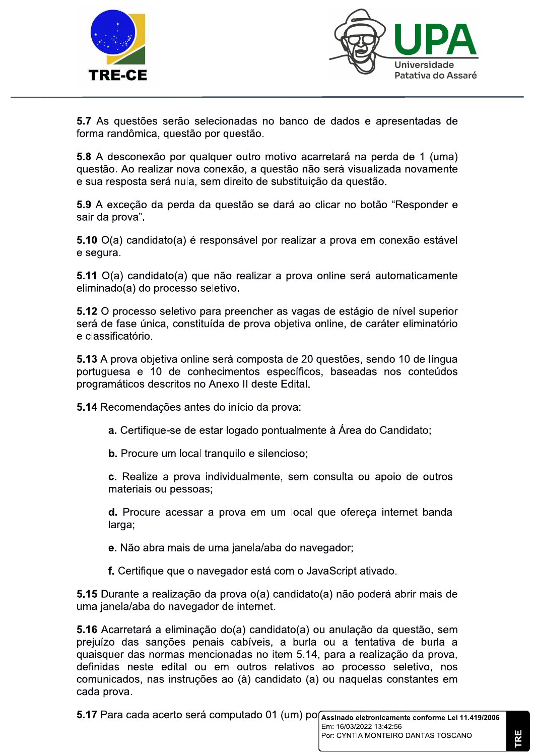



5.7 As questões serão selecionadas no banco de dados e apresentadas de forma randômica, questão por questão.

5.8 A desconexão por qualquer outro motivo acarretará na perda de 1 (uma) questão. Ao realizar nova conexão, a questão não será visualizada novamente e sua resposta será nula, sem direito de substituicão da questão.

5.9 A exceção da perda da questão se dará ao clicar no botão "Responder e sair da prova".

5.10 O(a) candidato(a) é responsável por realizar a prova em conexão estável e segura.

5.11 O(a) candidato(a) que não realizar a prova online será automaticamente eliminado(a) do processo seletivo.

5.12 O processo seletivo para preencher as vagas de estágio de nível superior será de fase única, constituída de prova objetiva online, de caráter eliminatório e classificatório.

5.13 A prova objetiva online será composta de 20 questões, sendo 10 de língua portuguesa e 10 de conhecimentos específicos, baseadas nos conteúdos programáticos descritos no Anexo II deste Edital.

5.14 Recomendações antes do início da prova:

a. Certifique-se de estar logado pontualmente à Área do Candidato;

b. Procure um local tranquilo e silencioso;

c. Realize a prova individualmente, sem consulta ou apoio de outros materiais ou pessoas;

d. Procure acessar a prova em um local que ofereça internet banda larga;

e. Não abra mais de uma janela/aba do navegador;

f. Certifique que o navegador está com o JavaScript ativado.

5.15 Durante a realização da prova o(a) candidato(a) não poderá abrir mais de uma janela/aba do navegador de internet.

5.16 Acarretará a eliminação do(a) candidato(a) ou anulação da questão, sem prejuízo das sanções penais cabíveis, a burla ou a tentativa de burla a quaisquer das normas mencionadas no item 5.14, para a realização da prova. definidas neste edital ou em outros relativos ao processo seletivo, nos comunicados, nas instruções ao (à) candidato (a) ou naquelas constantes em cada prova.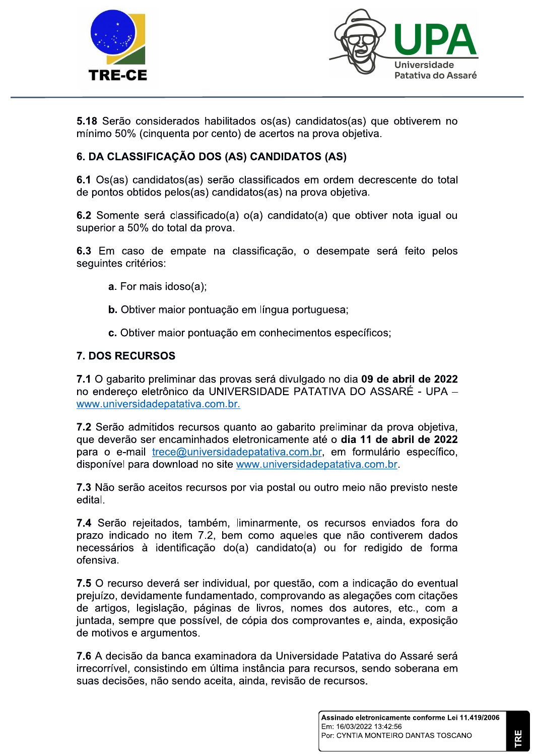



5.18 Serão considerados habilitados os(as) candidatos(as) que obtiverem no mínimo 50% (cinquenta por cento) de acertos na prova obietiva.

# 6. DA CLASSIFICAÇÃO DOS (AS) CANDIDATOS (AS)

6.1 Os(as) candidatos(as) serão classificados em ordem decrescente do total de pontos obtidos pelos(as) candidatos(as) na prova objetiva.

6.2 Somente será classificado(a) o(a) candidato(a) que obtiver nota igual ou superior a 50% do total da prova.

6.3 Em caso de empate na classificação, o desempate será feito pelos seguintes critérios:

- a. For mais idoso(a);
- **b.** Obtiver maior pontuação em língua portuguesa:
- c. Obtiver maior pontuação em conhecimentos específicos;

#### **7. DOS RECURSOS**

7.1 O gabarito preliminar das provas será divulgado no dia 09 de abril de 2022 no endereco eletrônico da UNIVERSIDADE PATATIVA DO ASSARÉ - UPA www.universidadepatativa.com.br.

7.2 Serão admitidos recursos quanto ao gabarito preliminar da prova objetiva, que deverão ser encaminhados eletronicamente até o dia 11 de abril de 2022 para o e-mail trece@universidadepatativa.com.br, em formulário específico, disponível para download no site www.universidadepatativa.com.br.

7.3 Não serão aceitos recursos por via postal ou outro meio não previsto neste edital.

7.4 Serão rejeitados, também, liminarmente, os recursos enviados fora do prazo indicado no item 7.2, bem como aqueles que não contiverem dados necessários à identificação do(a) candidato(a) ou for redigido de forma ofensiva.

7.5 O recurso deverá ser individual, por questão, com a indicação do eventual prejuízo, devidamente fundamentado, comprovando as alegações com citações de artigos, legislação, páginas de livros, nomes dos autores, etc., com a juntada, sempre que possível, de cópia dos comprovantes e, ainda, exposição de motivos e argumentos.

7.6 A decisão da banca examinadora da Universidade Patativa do Assaré será irrecorrível, consistindo em última instância para recursos, sendo soberana em suas decisões, não sendo aceita, ainda, revisão de recursos.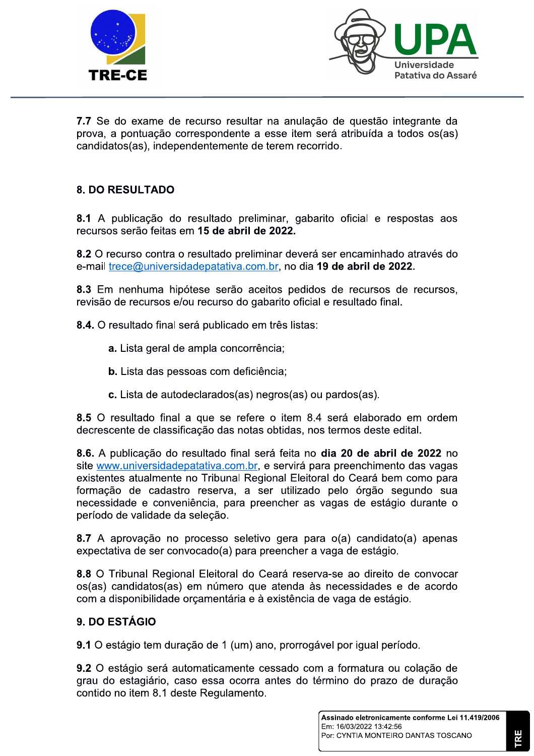



7.7 Se do exame de recurso resultar na anulação de questão integrante da prova, a pontuação correspondente a esse item será atribuída a todos os(as) candidatos(as), independentemente de terem recorrido.

# **8. DO RESULTADO**

8.1 A publicação do resultado preliminar, gabarito oficial e respostas aos recursos serão feitas em 15 de abril de 2022.

8.2 O recurso contra o resultado preliminar deverá ser encaminhado através do e-mail trece@universidadepatativa.com.br, no dia 19 de abril de 2022.

8.3 Em nenhuma hipótese serão aceitos pedidos de recursos de recursos, revisão de recursos e/ou recurso do gabarito oficial e resultado final.

8.4. O resultado final será publicado em três listas:

- a. Lista geral de ampla concorrência;
- b. Lista das pessoas com deficiência;
- c. Lista de autodeclarados(as) negros(as) ou pardos(as).

8.5 O resultado final a que se refere o item 8.4 será elaborado em ordem decrescente de classificação das notas obtidas, nos termos deste edital.

8.6. A publicação do resultado final será feita no dia 20 de abril de 2022 no site www.universidadepatativa.com.br, e servirá para preenchimento das vagas existentes atualmente no Tribunal Regional Eleitoral do Ceará bem como para formação de cadastro reserva, a ser utilizado pelo órgão segundo sua necessidade e conveniência, para preencher as vagas de estágio durante o período de validade da seleção.

8.7 A aprovação no processo seletivo gera para o(a) candidato(a) apenas expectativa de ser convocado(a) para preencher a vaga de estágio.

8.8 O Tribunal Regional Eleitoral do Ceará reserva-se ao direito de convocar os(as) candidatos(as) em número que atenda às necessidades e de acordo com a disponibilidade orçamentária e à existência de vaga de estágio.

### 9. DO ESTÁGIO

9.1 O estágio tem duração de 1 (um) ano, prorrogável por igual período.

9.2 O estágio será automaticamente cessado com a formatura ou colação de grau do estagiário, caso essa ocorra antes do término do prazo de duração contido no item 8.1 deste Regulamento.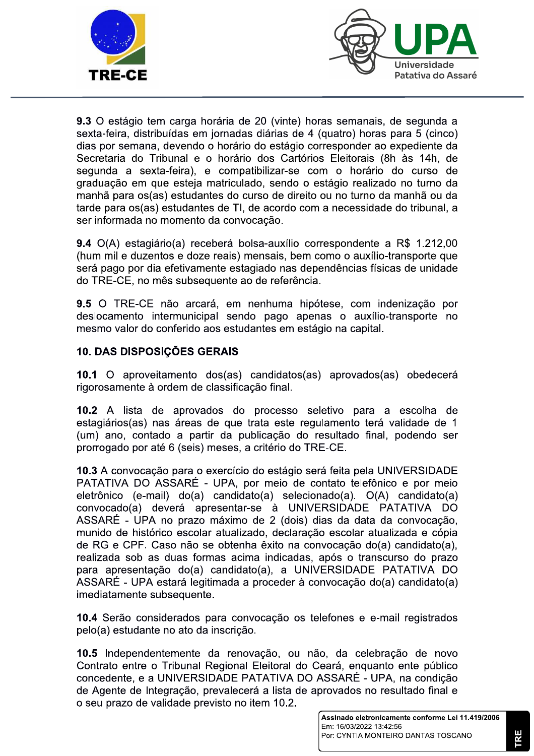



9.3 O estágio tem carga horária de 20 (vinte) horas semanais, de segunda a sexta-feira, distribuídas em iornadas diárias de 4 (quatro) horas para 5 (cinco) dias por semana, devendo o horário do estágio corresponder ao expediente da Secretaria do Tribunal e o horário dos Cartórios Eleitorais (8h às 14h, de segunda a sexta-feira), e compatibilizar-se com o horário do curso de graduação em que esteja matriculado, sendo o estágio realizado no turno da manhã para os(as) estudantes do curso de direito ou no turno da manhã ou da tarde para os(as) estudantes de TI, de acordo com a necessidade do tribunal, a ser informada no momento da convocação.

9.4 O(A) estagiário(a) receberá bolsa-auxílio correspondente a R\$ 1.212,00 (hum mil e duzentos e doze reais) mensais, bem como o auxílio-transporte que será pago por dia efetivamente estagiado nas dependências físicas de unidade do TRE-CE, no mês subsequente ao de referência.

9.5 O TRE-CE não arcará, em nenhuma hipótese, com indenização por deslocamento intermunicipal sendo pago apenas o auxílio-transporte no mesmo valor do conferido aos estudantes em estágio na capital.

# 10. DAS DISPOSIÇÕES GERAIS

10.1 O aproveitamento dos(as) candidatos(as) aprovados(as) obedecerá rigorosamente à ordem de classificação final.

10.2 A lista de aprovados do processo seletivo para a escolha de estagiários (as) nas áreas de que trata este regulamento terá validade de 1 (um) ano, contado a partir da publicação do resultado final, podendo ser prorrogado por até 6 (seis) meses, a critério do TRE-CE.

10.3 A convocação para o exercício do estágio será feita pela UNIVERSIDADE PATATIVA DO ASSARÉ - UPA, por meio de contato telefônico e por meio eletrônico (e-mail) do(a) candidato(a) selecionado(a). O(A) candidato(a) convocado(a) deverá apresentar-se à UNIVERSIDADE PATATIVA DO ASSARÉ - UPA no prazo máximo de 2 (dois) dias da data da convocação, munido de histórico escolar atualizado, declaração escolar atualizada e cópia de RG e CPF. Caso não se obtenha êxito na convocação do(a) candidato(a), realizada sob as duas formas acima indicadas, após o transcurso do prazo para apresentação do(a) candidato(a), a UNIVERSIDADE PATATIVA DO ASSARÉ - UPA estará legitimada a proceder à convocação do(a) candidato(a) imediatamente subsequente.

10.4 Serão considerados para convocação os telefones e e-mail registrados pelo(a) estudante no ato da inscrição.

10.5 Independentemente da renovação, ou não, da celebração de novo Contrato entre o Tribunal Regional Eleitoral do Ceará, enguanto ente público concedente, e a UNIVERSIDADE PATATIVA DO ASSARÉ - UPA, na condição de Agente de Integração, prevalecerá a lista de aprovados no resultado final e o seu prazo de validade previsto no item 10.2.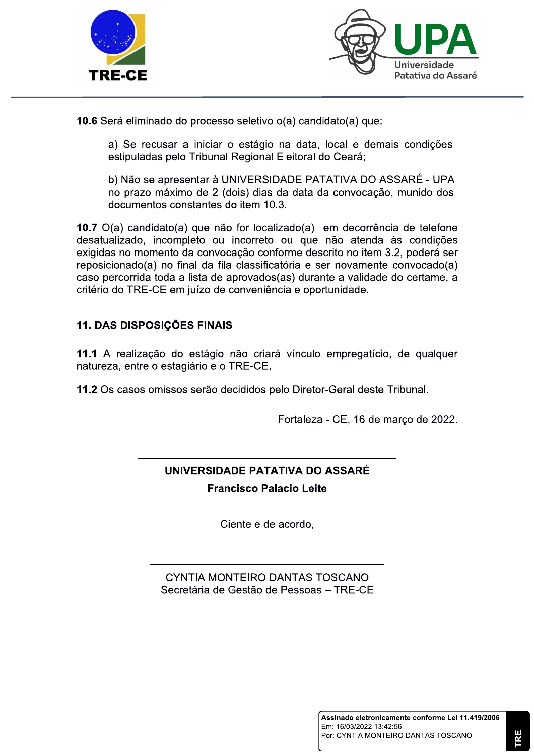



1**0.6** Sera eliminado do processo seletivo o(a) candidato(a) que:

a) Se recusar a iniciar o estagio na data, local e demais condições estipuladas pelo Tribunai Regionai Eleito

mo de 2 (dois) días da data da convocação, munido dos documentos constantes do Item 10.3.

Fratativa do Assare<br>
erá eliminado do processo seletivo o(a) candidato(a) que:<br>
a) Se recusar a iniciar o estágio na data, local e demais condições<br>
estipuladas pelo Tribunal Regional Eleitoral do Ceará;<br>
b) Não se apresen **10.**  $I$   $O(a)$  candidato(a) que hao for localizado(a) em decorrencia de telefone desatualizado, incompleto ou incorreto ou que não atenda as condições exigidas no momento da convocação conforme descrito no item 3.2, podera ser reposicionado(a) no final da fila classificatoria e ser novamente convocado(a) caso percorrida toda a lista de aprovados(as) durante a validade do certame, a criterio do TRE-CE em juizo de conveniencia e oportunidade.

# 11. DAS DISPOSIÇOES FINAIS

11.1 A realização do estagio não criara vinculo empregaticio, de qualquer natureza, entre o estagiario e o TRE-CE.

11.2 Os casos omissos serão decididos pelo Diretor-Geral deste Tribunai.

Fortaleza - CE, 16 de março de 2022.

# UNIVERSIDADE PATATIVA DO ASSARÉ **Francisco Palacio Leite**

NNNNNNNNNNNNNNNNNNNNNNNNNNNNNNNNNNNNNNNNNNN

Ciente e de acordo,

CYNTIA MONTFIRO DANTAS TOSCANO Secretaria de Gestão de Pessoas – TRE-CE

NNNNNNNNNNNNNNNNNNNNNNNNNNNNNNNNNNNNNNN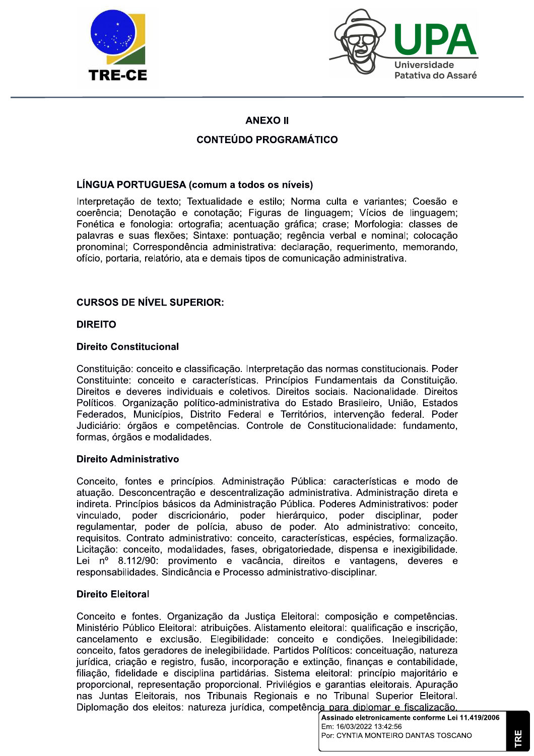



# **ANEXO II**

# **CONTEÚDO PROGRAMÁTICO**

### LÍNGUA PORTUGUESA (comum a todos os níveis)

Interpretação de texto; Textualidade e estilo; Norma culta e variantes; Coesão e coerência: Denotação e conotação; Figuras de linguagem; Vícios de linguagem; Fonética e fonologia: ortografia; acentuação gráfica; crase; Morfologia: classes de palavras e suas flexões; Sintaxe: pontuação; regência verbal e nominal; colocação pronominal: Correspondência administrativa: declaração, requerimento, memorando, ofício, portaria, relatório, ata e demais tipos de comunicação administrativa.

### **CURSOS DE NÍVEL SUPERIOR:**

#### **DIREITO**

#### **Direito Constitucional**

Constituição: conceito e classificação. Interpretação das normas constitucionais. Poder Constituinte: conceito e características. Princípios Fundamentais da Constituicão. Direitos e deveres individuais e coletivos. Direitos sociais. Nacionalidade. Direitos Políticos. Organização político-administrativa do Estado Brasileiro. União. Estados Federados, Municípios, Distrito Federal e Territórios, intervenção federal. Poder Judiciário: órgãos e competências. Controle de Constitucionalidade: fundamento, formas, órgãos e modalidades.

#### Direito Administrativo

Conceito, fontes e princípios. Administração Pública: características e modo de atuação. Desconcentração e descentralização administrativa. Administração direta e indireta. Princípios básicos da Administração Pública. Poderes Administrativos: poder vinculado, poder discricionário, poder hierárquico, poder disciplinar, poder regulamentar, poder de polícia, abuso de poder. Ato administrativo: conceito, requisitos. Contrato administrativo: conceito, características, espécies, formalização. Licitação: conceito, modalidades, fases, obrigatoriedade, dispensa e inexigibilidade. Lei nº 8.112/90: provimento e vacância, direitos e vantagens, deveres e responsabilidades. Sindicância e Processo administrativo-disciplinar.

#### **Direito Eleitoral**

Conceito e fontes. Organização da Justiça Eleitoral: composição e competências. Ministério Público Eleitoral: atribuicões. Alistamento eleitoral: qualificação e inscrição. cancelamento e exclusão. Elegibilidade: conceito e condições. Inelegibilidade:<br>conceito, fatos geradores de inelegibilidade. Partidos Políticos: conceituação, natureza jurídica, criação e registro, fusão, incorporação e extinção, finanças e contabilidade, filiação, fidelidade e disciplina partidárias. Sistema eleitoral: princípio majoritário e proporcional, representação proporcional. Privilégios e garantias eleitorais. Apuração nas Juntas Eleitorais, nos Tribunais Regionais e no Tribunal Superior Eleitoral. Diplomação dos eleitos: natureza jurídica, competência para diplomar e fiscalização.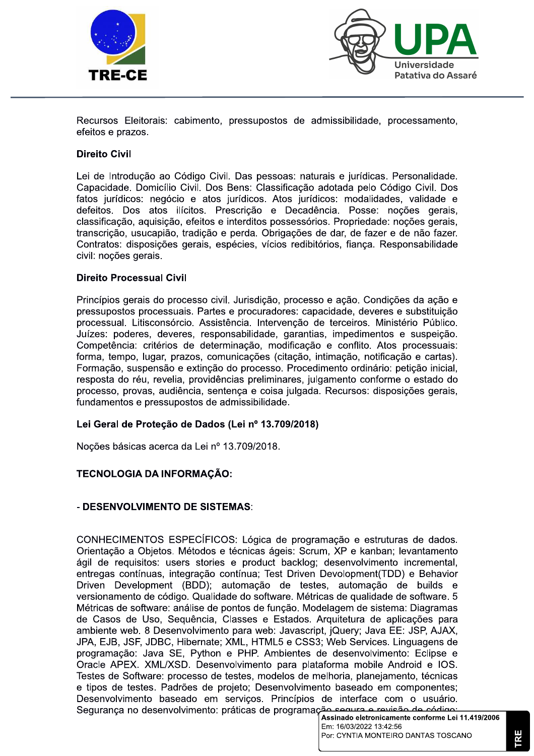



Recursos Eleitorais: cabimento, pressupostos de admissibilidade, processamento, efeitos e prazos.

#### **Direito Civil**

Lei de Introdução ao Código Civil. Das pessoas: naturais e jurídicas. Personalidade. Capacidade. Domicílio Civil. Dos Bens: Classificação adotada pelo Código Civil. Dos fatos jurídicos: negócio e atos jurídicos. Atos jurídicos: modalidades, validade e defeitos. Dos atos ilícitos. Prescrição e Decadência. Posse: noções gerais, classificação, aquisição, efeitos e interditos possessórios. Propriedade: noções gerais, transcrição, usucapião, tradição e perda. Obrigações de dar, de fazer e de não fazer. Contratos: disposições gerais, espécies, vícios redibitórios, fianca, Responsabilidade civil: noções gerais.

#### **Direito Processual Civil**

Princípios gerais do processo civil. Jurisdição, processo e ação. Condições da ação e pressupostos processuais. Partes e procuradores: capacidade, deveres e substituicão processual. Litisconsórcio. Assistência. Intervenção de terceiros. Ministério Público. Juízes: poderes, deveres, responsabilidade, garantias, impedimentos e suspeição. Competência: critérios de determinação, modificação e conflito. Atos processuais: forma, tempo, lugar, prazos, comunicações (citação, intimação, notificação e cartas). Formação, suspensão e extinção do processo. Procedimento ordinário: petição inicial, resposta do réu, revelia, providências preliminares, julgamento conforme o estado do processo, provas, audiência, sentenca e coisa julgada, Recursos; disposições gerais, fundamentos e pressupostos de admissibilidade.

#### Lei Geral de Proteção de Dados (Lei nº 13.709/2018)

Noções básicas acerca da Lei nº 13.709/2018.

#### TECNOLOGIA DA INFORMAÇÃO:

#### - DESENVOLVIMENTO DE SISTEMAS:

CONHECIMENTOS ESPECÍFICOS: Lógica de programação e estruturas de dados. Orientação a Objetos. Métodos e técnicas ágeis: Scrum, XP e kanban; levantamento ágil de requisitos: users stories e product backlog; desenvolvimento incremental, entregas contínuas, integração contínua; Test Driven Devolopment(TDD) e Behavior Driven Development (BDD); automação de testes, automação de builds e versionamento de código. Qualidade do software. Métricas de qualidade de software. 5 Métricas de software: análise de pontos de função. Modelagem de sistema: Diagramas de Casos de Uso, Sequência, Classes e Estados. Arquitetura de aplicações para ambiente web. 8 Desenvolvimento para web: Javascript, jQuery; Java EE: JSP, AJAX, JPA, EJB, JSF, JDBC, Hibernate; XML, HTML5 e CSS3; Web Services. Linguagens de programação: Java SE, Python e PHP. Ambientes de desenvolvimento: Eclipse e Oracle APEX, XML/XSD. Desenvolvimento para plataforma mobile Android e IOS. Testes de Software: processo de testes, modelos de melhoria, planejamento, técnicas e tipos de testes. Padrões de projeto; Desenvolvimento baseado em componentes; Desenvolvimento baseado em serviços. Princípios de interface com o usuário. Segurança no desenvolvimento: práticas de programação segura e revisão de código:

TRE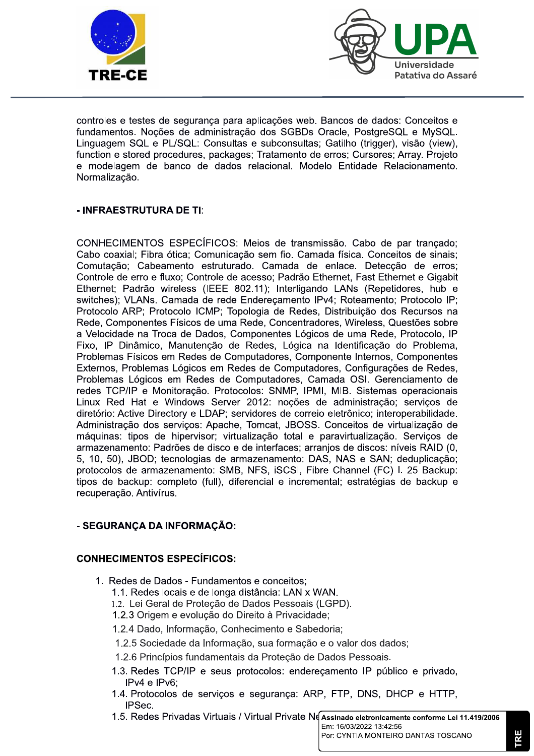



controles e testes de segurança para aplicações web. Bancos de dados: Conceitos e fundamentos. Noções de administração dos SGBDs Oracle, PostgreSQL e MySQL. Linguagem SQL e PL/SQL: Consultas e subconsultas; Gatilho (trigger), visão (view), function e stored procedures, packages; Tratamento de erros; Cursores; Array. Projeto e modelagem de banco de dados relacional. Modelo Entidade Relacionamento. Normalizacão.

#### - INFRAESTRUTURA DE TI:

CONHECIMENTOS ESPECÍFICOS: Meios de transmissão. Cabo de par trançado; Cabo coaxial; Fibra ótica; Comunicação sem fio. Camada física. Conceitos de sinais; Comutação; Cabeamento estruturado. Camada de enlace. Detecção de erros; Controle de erro e fluxo; Controle de acesso; Padrão Ethernet, Fast Ethernet e Gigabit Ethernet; Padrão wireless (IEEE 802.11); Interligando LANs (Repetidores, hub e switches); VLANs. Camada de rede Endereçamento IPv4; Roteamento; Protocolo IP; Protocolo ARP; Protocolo ICMP; Topologia de Redes, Distribuição dos Recursos na Rede, Componentes Físicos de uma Rede, Concentradores, Wireless, Questões sobre a Velocidade na Troca de Dados, Componentes Lógicos de uma Rede, Protocolo, IP Fixo, IP Dinâmico, Manutenção de Redes, Lógica na Identificação do Problema, Problemas Físicos em Redes de Computadores, Componente Internos, Componentes Externos, Problemas Lógicos em Redes de Computadores, Configurações de Redes, Problemas Lógicos em Redes de Computadores, Camada OSI. Gerenciamento de redes TCP/IP e Monitoração. Protocolos: SNMP. IPMI, MIB. Sistemas operacionais Linux Red Hat e Windows Server 2012: noções de administração; serviços de diretório: Active Directory e LDAP; servidores de correio eletrônico; interoperabilidade. Administração dos serviços: Apache, Tomcat, JBOSS. Conceitos de virtualização de máquinas: tipos de hipervisor; virtualização total e paravirtualização. Serviços de armazenamento: Padrões de disco e de interfaces; arranjos de discos: níveis RAID (0, 5. 10. 50). JBOD: tecnologias de armazenamento: DAS. NAS e SAN: deduplicação: protocolos de armazenamento: SMB, NFS, iSCSI, Fibre Channel (FC) I. 25 Backup: tipos de backup: completo (full), diferencial e incremental; estratégias de backup e recuperação. Antivírus.

### - SEGURANCA DA INFORMACÃO:

#### **CONHECIMENTOS ESPECÍFICOS:**

1. Redes de Dados - Fundamentos e conceitos;

1.1. Redes locais e de longa distância: LAN x WAN.

- 1.2. Lei Geral de Proteção de Dados Pessoais (LGPD).
- 1.2.3 Origem e evolução do Direito à Privacidade:
- 1.2.4 Dado, Informação, Conhecimento e Sabedoria;
- 1.2.5 Sociedade da Informação, sua formação e o valor dos dados;
- 1.2.6 Princípios fundamentais da Proteção de Dados Pessoais.
- 1.3. Redes TCP/IP e seus protocolos: endereçamento IP público e privado, IPv4 e IPv6;
- 1.4. Protocolos de serviços e segurança: ARP, FTP, DNS, DHCP e HTTP, IPSec.
- 1.5. Redes Privadas Virtuais / Virtual Private Ne Assinado eletronicamente conforme Lei 11.419/2006

Em: 16/03/2022 13:42:56 Por: CYNTIA MONTEIRO DANTAS TOSCANO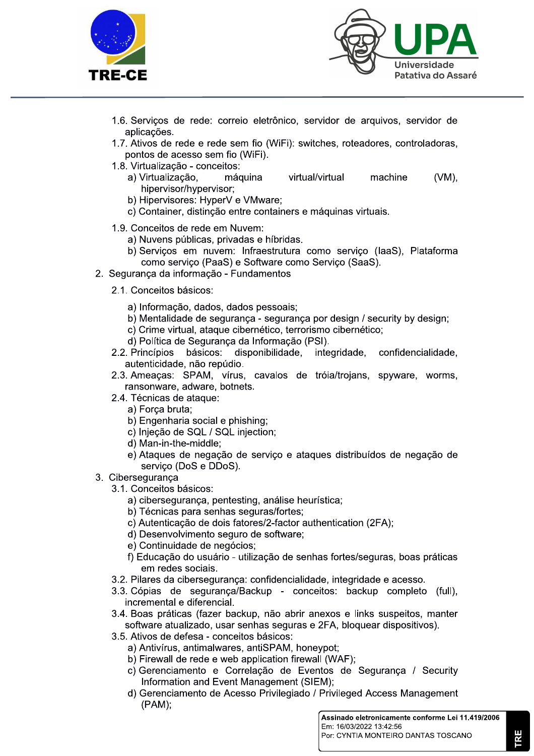



- 1.6. Servicos de rede: correio eletrônico, servidor de arquivos, servidor de aplicações.
- 1.7. Ativos de rede e rede sem fio (WiFi): switches, roteadores, controladoras, pontos de acesso sem fio (WiFi).
- 1.8. Virtualização conceitos:
	- a) Virtualização. máquina virtual/virtual machine  $(VM)$ . hipervisor/hypervisor;
	- b) Hipervisores: HyperV e VMware;
	- c) Container, distinção entre containers e máquinas virtuais.
- 1.9. Conceitos de rede em Nuvem:
	- a) Nuvens públicas, privadas e híbridas.
	- b) Servicos em nuvem: Infraestrutura como serviço (IaaS), Plataforma como servico (PaaS) e Software como Servico (SaaS).
- 2. Seguranca da informação Fundamentos
	- 2.1. Conceitos básicos:
		- a) Informação, dados, dados pessoais;
		- b) Mentalidade de segurança segurança por design / security by design;
		- c) Crime virtual, ataque cibernético, terrorismo cibernético:
		- d) Política de Segurança da Informação (PSI).
	- 2.2. Princípios básicos: disponibilidade. integridade. confidencialidade. autenticidade, não repúdio.
	- 2.3. Ameaças: SPAM, vírus, cavalos de tróia/trojans, spyware, worms, ransonware, adware, botnets.
	- 2.4. Técnicas de ataque:
		- a) Força bruta;
		- b) Engenharia social e phishing;
		- c) Injeção de SQL / SQL injection;
		- d) Man-in-the-middle:
		- e) Ataques de negação de serviço e ataques distribuídos de negação de serviço (DoS e DDoS).
- 3. Ciberseguranca
	- 3.1. Conceitos básicos:
		- a) cibersegurança, pentesting, análise heurística;
		- b) Técnicas para senhas seguras/fortes;
		- c) Autenticação de dois fatores/2-factor authentication (2FA);
		- d) Desenvolvimento seguro de software;
		- e) Continuidade de negócios:
		- f) Educação do usuário utilização de senhas fortes/seguras, boas práticas em redes sociais.
	- 3.2. Pilares da cibersegurança: confidencialidade, integridade e acesso.
	- 3.3. Cópias de segurança/Backup conceitos: backup completo (full), incremental e diferencial.
	- 3.4. Boas práticas (fazer backup, não abrir anexos e links suspeitos, manter software atualizado, usar senhas seguras e 2FA, bloquear dispositivos).
	- 3.5. Ativos de defesa conceitos básicos:
		- a) Antivírus, antimalwares, antiSPAM, honeypot;
		- b) Firewall de rede e web application firewall (WAF);
		- c) Gerenciamento e Correlação de Eventos de Segurança / Security Information and Event Management (SIEM);
		- d) Gerenciamento de Acesso Privilegiado / Privileged Access Management  $(PAM);$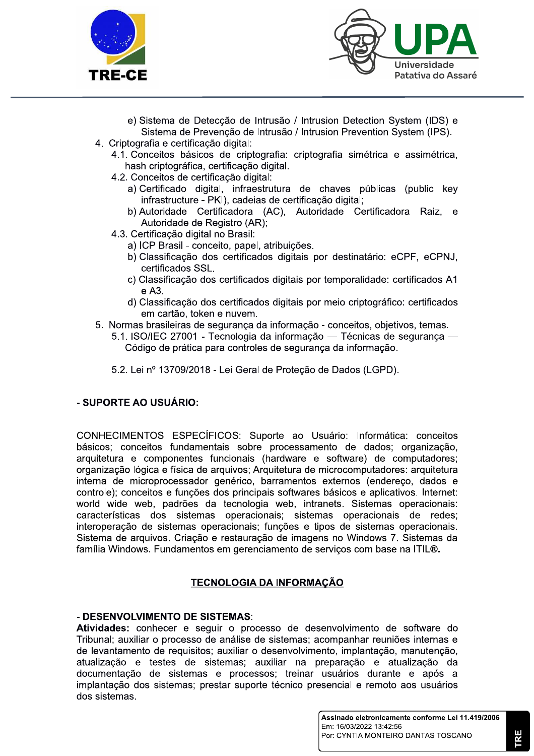



- e) Sistema de Deteccão de Intrusão / Intrusion Detection System (IDS) e Sistema de Prevenção de Intrusão / Intrusion Prevention System (IPS).
- 4. Criptografia e certificação digital:
	- 4.1. Conceitos básicos de criptografia: criptografia simétrica e assimétrica, hash criptográfica, certificação digital.
	- 4.2. Conceitos de certificação digital:
		- a) Certificado digital, infraestrutura de chaves públicas (public key infrastructure - PKI), cadeias de certificação digital;
		- b) Autoridade Certificadora (AC), Autoridade Certificadora Raiz, e Autoridade de Registro (AR);
	- 4.3. Certificação digital no Brasil:
		- a) ICP Brasil conceito, papel, atribuições.
		- b) Classificação dos certificados digitais por destinatário: eCPF, eCPNJ, certificados SSL.
		- c) Classificação dos certificados digitais por temporalidade: certificados A1 e A3.
		- d) Classificação dos certificados digitais por meio criptográfico: certificados em cartão, token e nuvem.
- 5. Normas brasileiras de segurança da informação conceitos, objetivos, temas.
	- 5.1. ISO/IEC 27001 Tecnologia da informação Técnicas de segurança Código de prática para controles de segurança da informação.
		- 5.2. Lei nº 13709/2018 Lei Geral de Proteção de Dados (LGPD).

### - SUPORTE AO USUÁRIO:

CONHECIMENTOS ESPECÍFICOS: Suporte ao Usuário: Informática: conceitos básicos; conceitos fundamentais sobre processamento de dados; organização, arquitetura e componentes funcionais (hardware e software) de computadores: organização lógica e física de arquivos; Arquitetura de microcomputadores: arquitetura interna de microprocessador genérico, barramentos externos (endereco, dados e controle); conceitos e funções dos principais softwares básicos e aplicativos. Internet: world wide web, padrões da tecnologia web, intranets. Sistemas operacionais: características dos sistemas operacionais; sistemas operacionais de redes; interoperação de sistemas operacionais: funções e tipos de sistemas operacionais. Sistema de arquivos. Criação e restauração de imagens no Windows 7. Sistemas da família Windows. Fundamentos em gerenciamento de serviços com base na ITIL®.

### **TECNOLOGIA DA INFORMAÇÃO**

#### - DESENVOLVIMENTO DE SISTEMAS:

Atividades: conhecer e seguir o processo de desenvolvimento de software do Tribunal; auxiliar o processo de análise de sistemas; acompanhar reuniões internas e de levantamento de requisitos; auxiliar o desenvolvimento, implantação, manutenção, atualização e testes de sistemas; auxiliar na preparação e atualização da documentação de sistemas e processos: treinar usuários durante e após a implantação dos sistemas: prestar suporte técnico presencial e remoto aos usuários dos sistemas